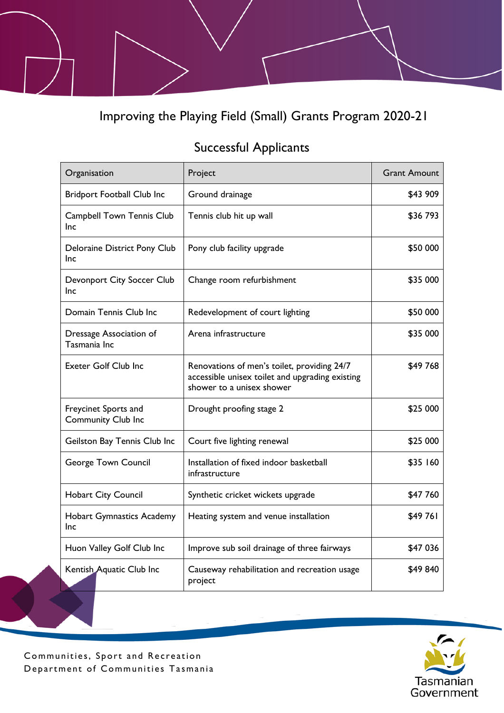Improving the Playing Field (Small) Grants Program 2020-21

## Successful Applicants

| Organisation                               | Project                                                                                                                     | <b>Grant Amount</b> |
|--------------------------------------------|-----------------------------------------------------------------------------------------------------------------------------|---------------------|
| <b>Bridport Football Club Inc</b>          | Ground drainage                                                                                                             | \$43 909            |
| <b>Campbell Town Tennis Club</b><br>Inc    | Tennis club hit up wall                                                                                                     | \$36793             |
| Deloraine District Pony Club<br>Inc        | Pony club facility upgrade                                                                                                  | \$50 000            |
| Devonport City Soccer Club<br>Inc          | Change room refurbishment                                                                                                   | \$35 000            |
| Domain Tennis Club Inc                     | Redevelopment of court lighting                                                                                             | \$50 000            |
| Dressage Association of<br>Tasmania Inc    | Arena infrastructure                                                                                                        | \$35 000            |
| <b>Exeter Golf Club Inc</b>                | Renovations of men's toilet, providing 24/7<br>accessible unisex toilet and upgrading existing<br>shower to a unisex shower | \$49 768            |
| Freycinet Sports and<br>Community Club Inc | Drought proofing stage 2                                                                                                    | \$25 000            |
| Geilston Bay Tennis Club Inc               | Court five lighting renewal                                                                                                 | \$25 000            |
| George Town Council                        | Installation of fixed indoor basketball<br>infrastructure                                                                   | \$35 160            |
| <b>Hobart City Council</b>                 | Synthetic cricket wickets upgrade                                                                                           | \$47 760            |
| <b>Hobart Gymnastics Academy</b><br>Inc    | Heating system and venue installation                                                                                       | \$49761             |
| Huon Valley Golf Club Inc                  | Improve sub soil drainage of three fairways                                                                                 | \$47 036            |
| Kentish Aquatic Club Inc                   | Causeway rehabilitation and recreation usage<br>project                                                                     | \$49840             |